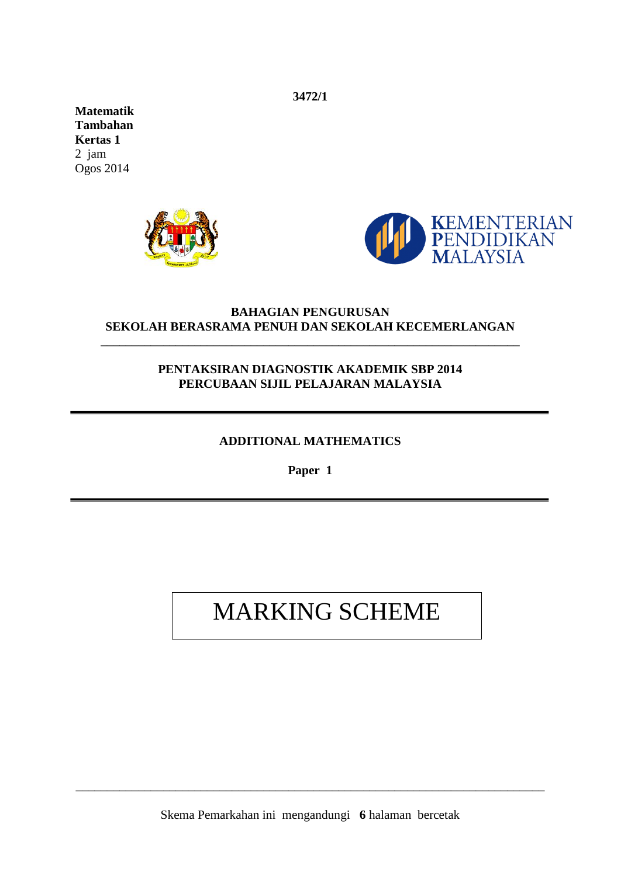**3472/1** 

**Matematik Tambahan Kertas 1** 2 jam Ogos 2014





## **BAHAGIAN PENGURUSAN SEKOLAH BERASRAMA PENUH DAN SEKOLAH KECEMERLANGAN**

**\_\_\_\_\_\_\_\_\_\_\_\_\_\_\_\_\_\_\_\_\_\_\_\_\_\_\_\_\_\_\_\_\_\_\_\_\_\_\_\_\_\_\_\_\_\_\_\_\_\_\_\_\_\_\_\_\_\_\_\_\_\_\_\_\_\_\_**

## **PENTAKSIRAN DIAGNOSTIK AKADEMIK SBP 2014 PERCUBAAN SIJIL PELAJARAN MALAYSIA**

## **ADDITIONAL MATHEMATICS**

**Paper 1**

## MARKING SCHEME

\_\_\_\_\_\_\_\_\_\_\_\_\_\_\_\_\_\_\_\_\_\_\_\_\_\_\_\_\_\_\_\_\_\_\_\_\_\_\_\_\_\_\_\_\_\_\_\_\_\_\_\_\_\_\_\_\_\_\_\_\_\_\_\_\_\_\_\_\_\_\_\_\_\_\_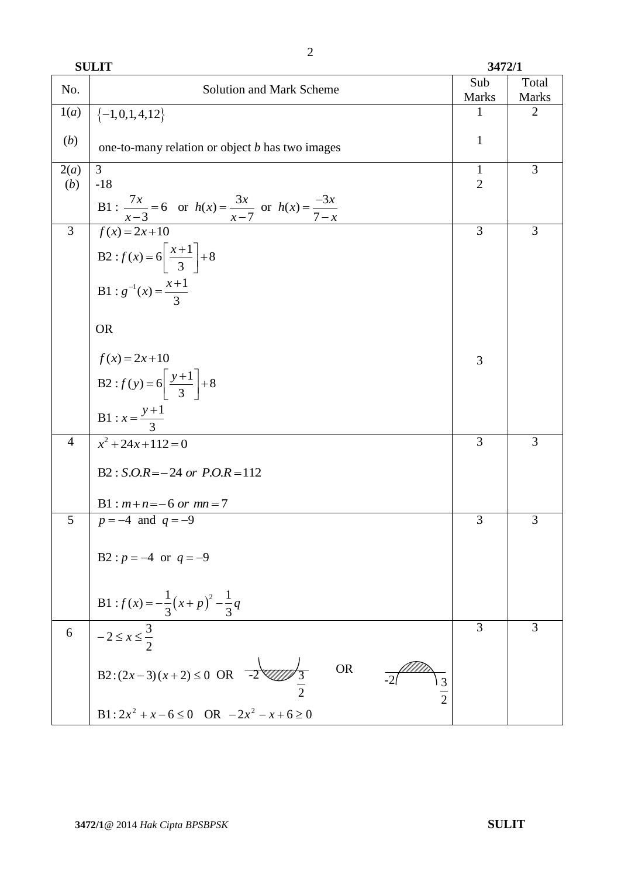**SULIT 3472/1**

| No.            | Solution and Mark Scheme                                                         | Sub<br><b>Marks</b> | Total<br><b>Marks</b> |
|----------------|----------------------------------------------------------------------------------|---------------------|-----------------------|
| 1(a)           | $\{-1,0,1,4,12\}$                                                                | 1                   | $\overline{2}$        |
| (b)            | one-to-many relation or object <i>b</i> has two images                           | $\mathbf{1}$        |                       |
| 2(a)           | 3                                                                                | $\mathbf{1}$        | 3                     |
| (b)            | $-18$                                                                            | $\overline{2}$      |                       |
|                | B1 : $\frac{7x}{x-3} = 6$ or $h(x) = \frac{3x}{x-7}$ or $h(x) = \frac{-3x}{7-x}$ |                     |                       |
| 3              | $f(x)=2x+10$                                                                     | 3                   | 3                     |
|                | B2 : $f(x) = 6\left[\frac{x+1}{3}\right] + 8$                                    |                     |                       |
|                | B1 : $g^{-1}(x) = \frac{x+1}{3}$                                                 |                     |                       |
|                | <b>OR</b>                                                                        |                     |                       |
|                | $f(x) = 2x+10$                                                                   | 3                   |                       |
|                | B2: $f(y) = 6\left[\frac{y+1}{3}\right] + 8$                                     |                     |                       |
|                | <b>B1</b> : $x = \frac{y+1}{3}$                                                  |                     |                       |
| $\overline{4}$ | $x^2 + 24x + 112 = 0$                                                            | 3                   | 3                     |
|                | $B2: S.O.R = -24$ or $P.O.R = 112$                                               |                     |                       |
|                | $B1: m+n=-6 \text{ or } mn=7$                                                    |                     |                       |
| 5              | $p = -4$ and $q = -9$                                                            | 3                   | 3                     |
|                | B2 : $p = -4$ or $q = -9$                                                        |                     |                       |
|                | B1 : $f(x) = -\frac{1}{3}(x+p)^2 - \frac{1}{3}q$                                 |                     |                       |
| 6              | $-2 \le x \le \frac{3}{2}$                                                       | 3                   | 3                     |
|                | B2: $(2x-3)(x+2) \le 0$ OR $\frac{1}{-2}$ 2<br><b>OR</b><br>3                    |                     |                       |
|                | B1: $2x^2 + x - 6 \le 0$ OR $-2x^2 - x + 6 \ge 0$                                |                     |                       |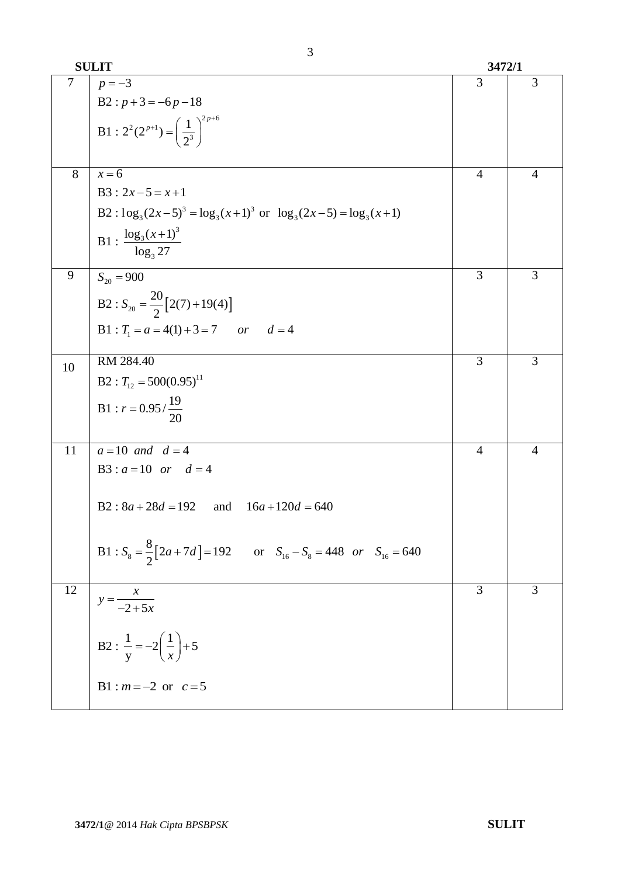|    | <b>SULIT</b>                                                                       | 3472/1         |                |
|----|------------------------------------------------------------------------------------|----------------|----------------|
| 7  | $p = -3$                                                                           | 3              | 3              |
|    | $B2 : p+3=-6p-18$                                                                  |                |                |
|    | B1 : $2^2(2^{p+1}) = \left(\frac{1}{2^3}\right)^{2p+6}$                            |                |                |
| 8  | $x=6$                                                                              | $\overline{4}$ | $\overline{4}$ |
|    | $B3: 2x-5=x+1$                                                                     |                |                |
|    | B2 : $\log_3(2x-5)^3 = \log_3(x+1)^3$ or $\log_3(2x-5) = \log_3(x+1)$              |                |                |
|    | B1 : $\frac{\log_3(x+1)^3}{\log_3 27}$                                             |                |                |
| 9  | $S_{20} = 900$                                                                     | 3              | 3              |
|    | B2 : $S_{20} = \frac{20}{2} [2(7) + 19(4)]$                                        |                |                |
|    | B1 : $T_1 = a = 4(1) + 3 = 7$ or $d = 4$                                           |                |                |
| 10 | RM 284.40                                                                          | 3              | 3              |
|    | $B2: T_{12} = 500(0.95)^{11}$                                                      |                |                |
|    | B1 : $r = 0.95 / \frac{19}{20}$                                                    |                |                |
| 11 | $a = 10$ and $d = 4$                                                               | $\overline{4}$ | $\overline{4}$ |
|    | B3 : $a = 10$ or $d = 4$                                                           |                |                |
|    | $B2: 8a + 28d = 192$ and<br>$16a+120d = 640$                                       |                |                |
|    | B1 : $S_8 = \frac{8}{2} [2a + 7d] = 192$ or $S_{16} - S_8 = 448$ or $S_{16} = 640$ |                |                |
| 12 | $y = \frac{x}{-2+5x}$                                                              | 3              | 3              |
|    | B2 : $\frac{1}{y} = -2\left(\frac{1}{x}\right) + 5$                                |                |                |
|    | B1 : $m = -2$ or $c = 5$                                                           |                |                |

3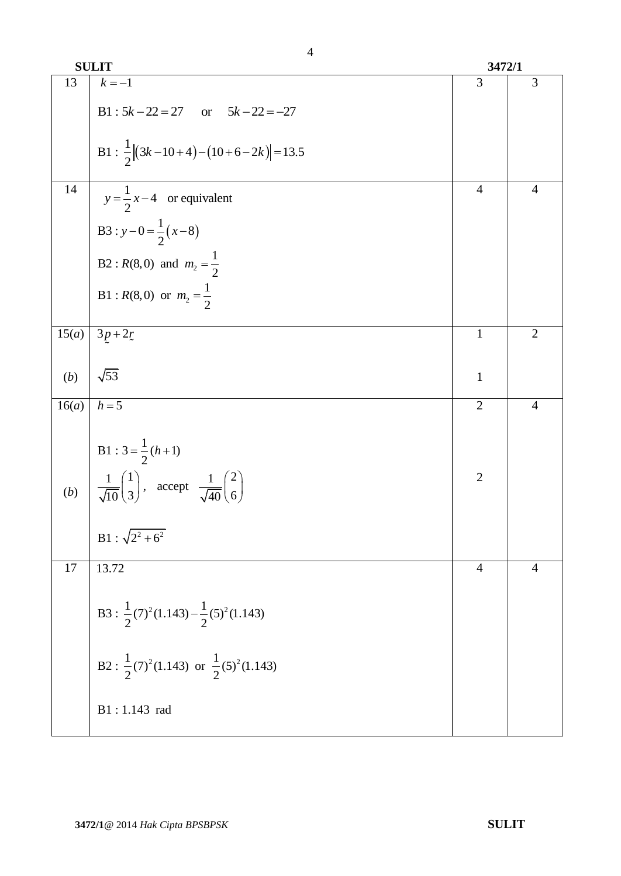|       | <b>SULIT</b>                                                                                                                                      | 3472/1         |                |
|-------|---------------------------------------------------------------------------------------------------------------------------------------------------|----------------|----------------|
| 13    | $k = -1$                                                                                                                                          | 3              | 3              |
|       | B1 : $5k - 22 = 27$ or $5k - 22 = -27$                                                                                                            |                |                |
|       | B1 : $\frac{1}{2} (3k-10+4)-(10+6-2k) =13.5$                                                                                                      |                |                |
| 14    | $y = \frac{1}{2}x-4$ or equivalent                                                                                                                | $\overline{4}$ | $\overline{4}$ |
|       | B3 : $y-0=\frac{1}{2}(x-8)$                                                                                                                       |                |                |
|       | B2 : $R(8,0)$ and $m_2 = \frac{1}{2}$                                                                                                             |                |                |
|       | B1 : $R(8,0)$ or $m_2 = \frac{1}{2}$                                                                                                              |                |                |
| 15(a) | $3p+2r$                                                                                                                                           | $\mathbf{1}$   | $\overline{2}$ |
| (b)   | $\sqrt{53}$                                                                                                                                       | $\mathbf{1}$   |                |
| 16(a) | $h=5$                                                                                                                                             | $\overline{2}$ | $\overline{4}$ |
|       | B1 : $3 = \frac{1}{2}(h+1)$                                                                                                                       |                |                |
|       | (b) $\left  \frac{1}{\sqrt{10}} \begin{pmatrix} 1 \\ 3 \end{pmatrix} \right $ , accept $\frac{1}{\sqrt{40}} \begin{pmatrix} 2 \\ 6 \end{pmatrix}$ | $\overline{2}$ |                |
|       | $B1: \sqrt{2^2+6^2}$                                                                                                                              |                |                |
| 17    | 13.72                                                                                                                                             | $\overline{4}$ | $\overline{4}$ |
|       | B3 : $\frac{1}{2}$ (7) <sup>2</sup> (1.143) – $\frac{1}{2}$ (5) <sup>2</sup> (1.143)                                                              |                |                |
|       | B2 : $\frac{1}{2}$ (7) <sup>2</sup> (1.143) or $\frac{1}{2}$ (5) <sup>2</sup> (1.143)                                                             |                |                |
|       | B1:1.143 rad                                                                                                                                      |                |                |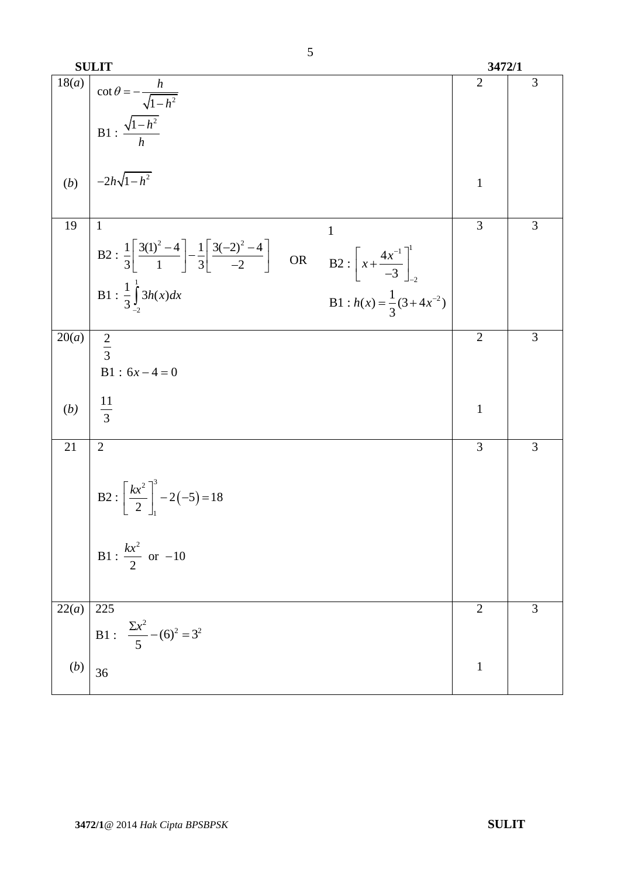|                    | <b>SULIT</b>                                                                                                                                                                           | 3472/1         |   |
|--------------------|----------------------------------------------------------------------------------------------------------------------------------------------------------------------------------------|----------------|---|
| $\overline{18}(a)$ | $\cot \theta = -\frac{h}{\sqrt{1 - h^2}}$                                                                                                                                              | $\overline{2}$ | 3 |
|                    | B1 : $\frac{\sqrt{1-h^2}}{h}$                                                                                                                                                          |                |   |
| (b)                | $\Bigg  -2h\sqrt{1-h^2}$                                                                                                                                                               | $\mathbf{1}$   |   |
|                    |                                                                                                                                                                                        |                |   |
| 19                 | $\mathbf{1}$<br>1<br>B2: $\frac{1}{3} \left[ \frac{3(1)^2 - 4}{1} \right] - \frac{1}{3} \left[ \frac{3(-2)^2 - 4}{-2} \right]$ OR B2: $\left[ x + \frac{4x^{-1}}{-3} \right]_{-2}^{1}$ | 3              | 3 |
|                    | B1 : $\frac{1}{3} \int_{2}^{1} 3h(x) dx$<br>B1 : $h(x) = \frac{1}{3}(3 + 4x^{-2})$                                                                                                     |                |   |
| 20(a)              | $rac{2}{3}$<br>$B1 : 6x - 4 = 0$                                                                                                                                                       | $\overline{2}$ | 3 |
| (b)                | $\frac{11}{3}$                                                                                                                                                                         | $\mathbf{1}$   |   |
| 21                 | $\overline{2}$                                                                                                                                                                         | 3              | 3 |
|                    | <b>B2</b> : $\left[\frac{kx^2}{2}\right]^3 - 2(-5) = 18$<br>B1 : $\frac{kx^2}{2}$ or -10                                                                                               |                |   |
|                    |                                                                                                                                                                                        |                |   |
| 22(a)              | 225<br>B1 : $\frac{\Sigma x^2}{5} - (6)^2 = 3^2$                                                                                                                                       | $\overline{2}$ | 3 |
| (b)                | 36                                                                                                                                                                                     | $\mathbf{1}$   |   |